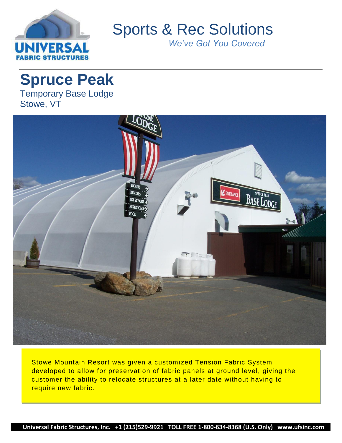

Sports & Rec Solutions

*We've Got You Covered*

# **Spruce Peak**

Temporary Base Lodge Stowe, VT



Stowe Mountain Resort was given a customized Tension Fabric System developed to allow for preservation of fabric panels at ground level, giving the customer the ability to relocate structures at a later date without having to require new fabric.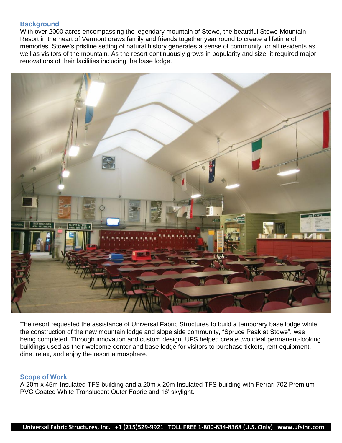## **Background**

With over 2000 acres encompassing the legendary mountain of Stowe, the beautiful Stowe Mountain Resort in the heart of Vermont draws family and friends together year round to create a lifetime of memories. Stowe's pristine setting of natural history generates a sense of community for all residents as well as visitors of the mountain. As the resort continuously grows in popularity and size; it required major renovations of their facilities including the base lodge.



The resort requested the assistance of Universal Fabric Structures to build a temporary base lodge while the construction of the new mountain lodge and slope side community, "Spruce Peak at Stowe", was being completed. Through innovation and custom design, UFS helped create two ideal permanent-looking buildings used as their welcome center and base lodge for visitors to purchase tickets, rent equipment, dine, relax, and enjoy the resort atmosphere.

### **Scope of Work**

A 20m x 45m Insulated TFS building and a 20m x 20m Insulated TFS building with Ferrari 702 Premium PVC Coated White Translucent Outer Fabric and 16' skylight.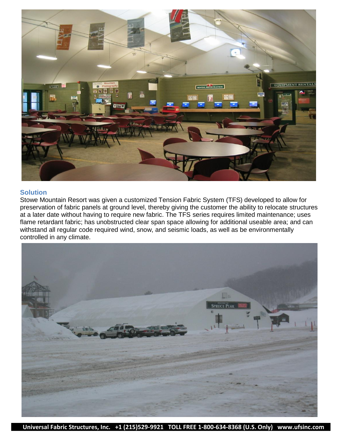

### **Solution**

Stowe Mountain Resort was given a customized Tension Fabric System (TFS) developed to allow for preservation of fabric panels at ground level, thereby giving the customer the ability to relocate structures at a later date without having to require new fabric. The TFS series requires limited maintenance; uses flame retardant fabric; has unobstructed clear span space allowing for additional useable area; and can withstand all regular code required wind, snow, and seismic loads, as well as be environmentally controlled in any climate.